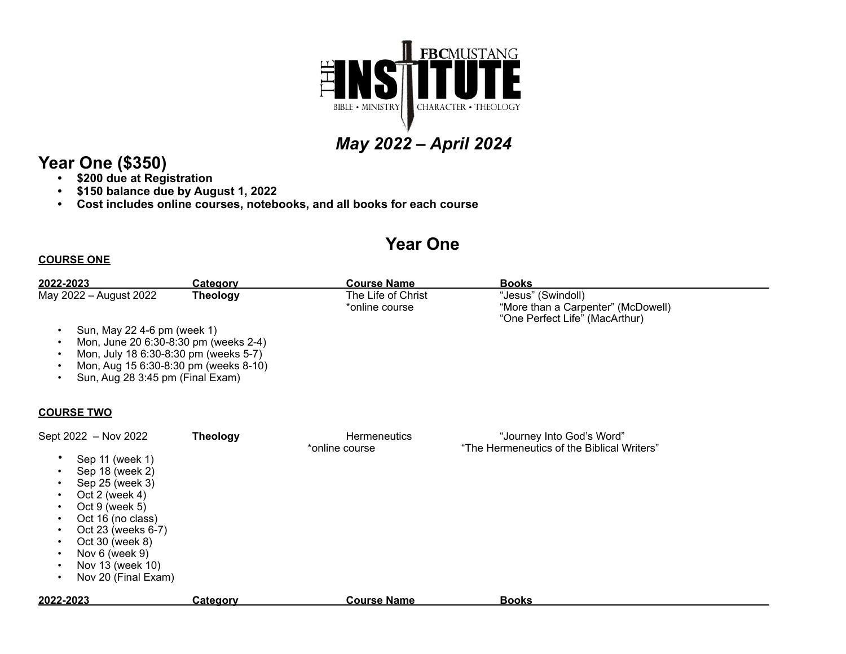

# *May 2022 – April 2024*

### **Year One (\$350)**

- **• \$200 due at Registration**
- **• \$150 balance due by August 1, 2022**
- **• Cost includes online courses, notebooks, and all books for each course**

## **Year One**

#### **COURSE ONE**

| 2022-2023                                                                                                                                                                                                                                       | <b>Category</b> | <b>Course Name</b>                    | <u>Books</u>                                                                               |  |
|-------------------------------------------------------------------------------------------------------------------------------------------------------------------------------------------------------------------------------------------------|-----------------|---------------------------------------|--------------------------------------------------------------------------------------------|--|
| May 2022 - August 2022<br>Sun, May 22 4-6 pm (week 1)<br>Mon, June 20 6:30-8:30 pm (weeks 2-4)<br>Mon, July 18 6:30-8:30 pm (weeks 5-7)<br>Mon, Aug 15 6:30-8:30 pm (weeks 8-10)<br>Sun, Aug 28 3:45 pm (Final Exam)                            | <b>Theology</b> | The Life of Christ<br>*online course  | "Jesus" (Swindoll)<br>"More than a Carpenter" (McDowell)<br>"One Perfect Life" (MacArthur) |  |
| <b>COURSE TWO</b>                                                                                                                                                                                                                               |                 |                                       |                                                                                            |  |
| Sept 2022 - Nov 2022<br>Sep 11 (week 1)<br>Sep 18 (week 2)<br>Sep 25 (week 3)<br>Oct 2 (week $4$ )<br>Oct 9 (week 5)<br>Oct 16 (no class)<br>Oct 23 (weeks 6-7)<br>Oct 30 (week 8)<br>Nov 6 (week 9)<br>Nov 13 (week 10)<br>Nov 20 (Final Exam) | <b>Theology</b> | <b>Hermeneutics</b><br>*online course | "Journey Into God's Word"<br>"The Hermeneutics of the Biblical Writers"                    |  |
| 2022-2023                                                                                                                                                                                                                                       | <b>Category</b> | <b>Course Name</b>                    | <b>Books</b>                                                                               |  |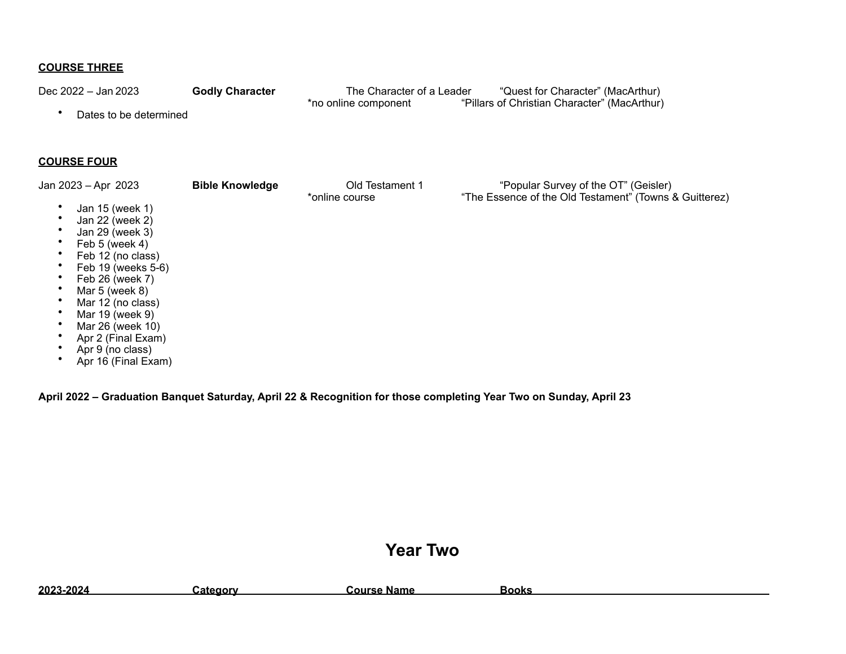#### **COURSE THREE**

Dec 2022 – Jan 2023 **Godly Character** The Character of a Leader "Quest for Character" (MacArthur)<br>"Pillars of Christian Character" (MacArthur) <sup>\*</sup>no online component "Pillars of Christian Character" (MacArthur)

• Dates to be determined

#### **COURSE FOUR**

| Jan 2023 – Apr 2023 | <b>Bible Knowledge</b> | Old Testament 1<br>*online course | "Popular Survey of the OT" (Geisler)<br>"The Essence of the Old Testament" (Towns & Guitterez) |
|---------------------|------------------------|-----------------------------------|------------------------------------------------------------------------------------------------|
| Jan 15 (week 1)     |                        |                                   |                                                                                                |
| Jan 22 (week 2)     |                        |                                   |                                                                                                |
| Jan 29 (week 3)     |                        |                                   |                                                                                                |
| Feb $5$ (week 4)    |                        |                                   |                                                                                                |
| Feb 12 (no class)   |                        |                                   |                                                                                                |
| Feb 19 (weeks 5-6)  |                        |                                   |                                                                                                |
| Feb 26 (week 7)     |                        |                                   |                                                                                                |
| Mar $5$ (week $8$ ) |                        |                                   |                                                                                                |
| Mar 12 (no class)   |                        |                                   |                                                                                                |
| Mar 19 (week 9)     |                        |                                   |                                                                                                |
| Mar 26 (week 10)    |                        |                                   |                                                                                                |
| Apr 2 (Final Exam)  |                        |                                   |                                                                                                |
| Apr 9 (no class)    |                        |                                   |                                                                                                |

• Apr 16 (Final Exam)

**April 2022 – Graduation Banquet Saturday, April 22 & Recognition for those completing Year Two on Sunday, April 23**

## **Year Two**

| 2023-2024 | سategory. | e Name<br><b>∍ours</b> | 300ks |
|-----------|-----------|------------------------|-------|
|           |           |                        |       |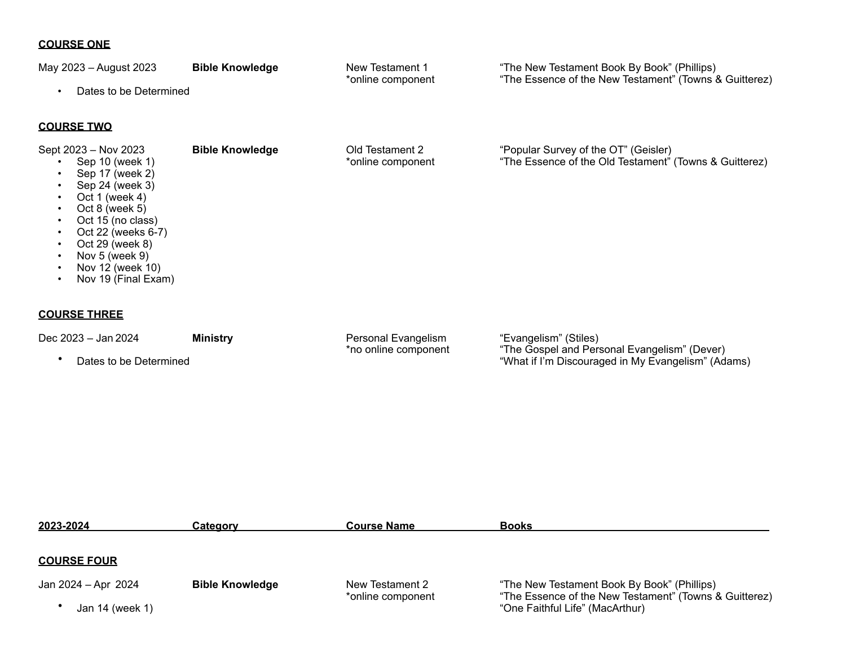#### **COURSE ONE**

| May 2023 - August 2023<br>Dates to be Determined<br>$\bullet$                                                                                                                                                                                                | <b>Bible Knowledge</b> | New Testament 1<br>*online component        | "The New Testament Book By Book" (Phillips)<br>"The Essence of the New Testament" (Towns & Guitterez) |
|--------------------------------------------------------------------------------------------------------------------------------------------------------------------------------------------------------------------------------------------------------------|------------------------|---------------------------------------------|-------------------------------------------------------------------------------------------------------|
| <b>COURSE TWO</b>                                                                                                                                                                                                                                            |                        |                                             |                                                                                                       |
| Sept 2023 - Nov 2023<br>Sep 10 (week 1)<br>Sep 17 (week 2)<br>Sep 24 (week 3)<br>Oct 1 (week 4)<br>Oct 8 (week $5$ )<br>Oct 15 (no class)<br>Oct 22 (weeks 6-7)<br>$\bullet$<br>Oct 29 (week 8)<br>Nov 5 (week 9)<br>Nov 12 (week 10)<br>Nov 19 (Final Exam) | <b>Bible Knowledge</b> | Old Testament 2<br>*online component        | "Popular Survey of the OT" (Geisler)<br>"The Essence of the Old Testament" (Towns & Guitterez)        |
| <b>COURSE THREE</b>                                                                                                                                                                                                                                          |                        |                                             |                                                                                                       |
| Dec 2023 - Jan 2024                                                                                                                                                                                                                                          | Ministry               | Personal Evangelism<br>*no online component | "Evangelism" (Stiles)<br>"The Gospel and Personal Evangelism" (Dever)                                 |

• Dates to be Determined "What if I'm Discouraged in My Evangelism" (Adams)

| 2023-2024           | <b>Category</b>        | <b>Course Name</b> | <b>Books</b>                                                                              |
|---------------------|------------------------|--------------------|-------------------------------------------------------------------------------------------|
|                     |                        |                    |                                                                                           |
| <b>COURSE FOUR</b>  |                        |                    |                                                                                           |
| Jan 2024 – Apr 2024 | <b>Bible Knowledge</b> | New Testament 2    | "The New Testament Book By Book" (Phillips)                                               |
| Jan 14 (week 1)     |                        | *online component  | "The Essence of the New Testament" (Towns & Guitterez)<br>"One Faithful Life" (MacArthur) |